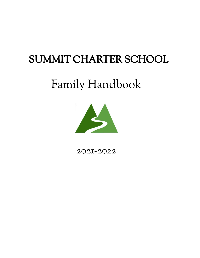# SUMMIT CHARTER SCHOOL

# Family Handbook



# 2021-2022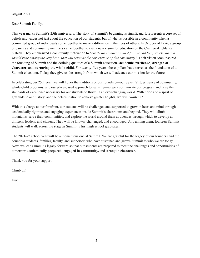August 2021

Dear Summit Family,

This year marks Summit's 25th anniversary. The story of Summit's beginning is significant. It represents a core set of beliefs and values not just about the education of our students, but of what is possible in a community when a committed group of individuals come together to make a difference in the lives of others. In October of 1996, a group of parents and community members came together to cast a new vision for education on the Cashiers-Highlands plateau. They emphasized a community motivation to "*create an excellent school for our children, which can and should rank among the very best...that will serve as the cornerstone of this community.*" Their vision soon inspired the founding of Summit and the defining qualities of a Summit education--**academic excellence**, **strength of character**, and **nurturing the whole-child**. For twenty-five years, these pillars have served as the foundation of a Summit education. Today, they give us the strength from which we will advance our mission for the future.

In celebrating our 25th year, we will honor the traditions of our founding—our Seven Virtues, sense of community, whole-child programs, and our place-based approach to learning—as we also innovate our program and raise the standards of excellence necessary for our students to thrive in an ever-changing world. With pride and a spirit of gratitude in our history, and the determination to achieve greater heights, we will *climb on!*

With this charge at our forefront, our students will be challenged and supported to grow in heart and mind through academically rigorous and engaging experiences inside Summit's classrooms and beyond. They will climb mountains, serve their communities, and explore the world around them as avenues through which to develop as thinkers, leaders, and citizens. They will be known, challenged, and encouraged. And among them, fourteen Summit students will walk across the stage as Summit's first high school graduates.

The 2021-22 school year will be a momentous one at Summit. We are grateful for the legacy of our founders and the countless students, families, faculty, and supporters who have sustained and grown Summit to who we are today. Now, we lead Summit's legacy forward so that our students are prepared to meet the challenges and opportunities of tomorrow **academically prepared, engaged in community,** and **strong in character**.

Thank you for your support.

Climb on!

Kurt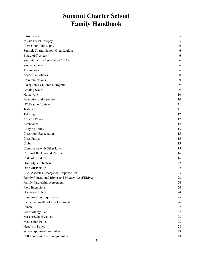# **Summit Charter School Family Handbook**

| Introduction                                      | 5  |
|---------------------------------------------------|----|
| Mission & Philosophy                              | 5  |
| Curriculum/Philosophy                             | 6  |
| Summit Charter School Organizations:              | 6  |
| <b>Board of Trustees</b>                          | 6  |
| Summit Family Association (SFA)                   | 6  |
| <b>Student Council</b>                            | 6  |
| Admissions                                        | 6  |
| Academic Policies                                 | 8  |
| Communications                                    | 9  |
| Exceptional Children's Program                    | 9  |
| <b>Grading Scales</b>                             | 9  |
| Homework                                          | 10 |
| Promotion and Retention                           | 10 |
| NC Read to Achieve                                | 11 |
| Testing                                           | 11 |
| Tutoring                                          | 12 |
| <b>Athletic Policy</b>                            | 12 |
| Attendance                                        | 12 |
| <b>Bullying Policy</b>                            | 13 |
| <b>Classroom Expectations</b>                     | 15 |
| <b>Class Parties</b>                              | 15 |
| Clubs                                             | 15 |
| Compliance with Other Laws                        | 15 |
| Criminal Background Checks                        | 16 |
| Code of Conduct                                   | 16 |
| Diversity and Inclusion                           | 22 |
| Drop-off/Pick-up                                  | 22 |
| EPA-Asbestos Emergency Response Act               | 23 |
| Family Educational Rights and Privacy Act (FERPA) | 23 |
| Family Partnership Agreement                      | 24 |
| <b>Field Excursions</b>                           | 24 |
| Grievance Policy                                  | 24 |
| <b>Immunization Requirements</b>                  | 25 |
| Inclement Weather/Early Dismissal                 | 26 |
| Lunch                                             | 27 |
| Food Allergy Plan                                 | 27 |
| Mascot/School Colors                              | 28 |
| <b>Medication Policy</b>                          | 28 |
| Nepotism Policy                                   | 28 |
| School Sponsored Activities                       | 28 |
| Cell Phone and Technology Policy                  | 28 |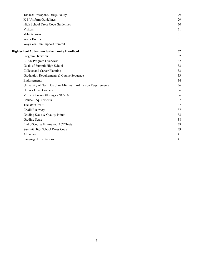| Tobacco, Weapons, Drugs Policy                              | 29 |
|-------------------------------------------------------------|----|
| K-8 Uniform Guidelines                                      | 29 |
| High School Dress Code Guidelines                           | 30 |
| <b>Visitors</b>                                             | 31 |
| Volunteerism                                                | 31 |
| <b>Water Bottles</b>                                        | 31 |
| Ways You Can Support Summit                                 | 31 |
| <b>High School Addendum to the Family Handbook</b>          | 32 |
| Program Overview                                            | 32 |
| <b>LEAD Program Overview</b>                                | 32 |
| Goals of Summit High School                                 | 33 |
| College and Career Planning                                 | 33 |
| Graduation Requirements & Course Sequence                   | 33 |
| Endorsements                                                | 34 |
| University of North Carolina Minimum Admission Requirements | 36 |
| <b>Honors Level Courses</b>                                 | 36 |
| Virtual Course Offerings - NCVPS                            | 36 |
| <b>Course Requirements</b>                                  | 37 |
| <b>Transfer Credit</b>                                      | 37 |
| Credit Recovery                                             | 37 |
| Grading Scale & Quality Points                              | 38 |
| <b>Grading Scale</b>                                        | 38 |
| End of Course Exams and ACT Tests                           | 38 |
| Summit High School Dress Code                               | 39 |
| Attendance                                                  | 41 |
| Language Expectations                                       | 41 |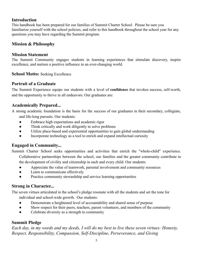## <span id="page-4-0"></span>**Introduction**

This handbook has been prepared for our families of Summit Charter School. Please be sure you familiarize yourself with the school policies, and refer to this handbook throughout the school year for any questions you may have regarding the Summit program.

## <span id="page-4-1"></span>**Mission & Philosophy**

## **Mission Statement**

The Summit Community engages students in learning experiences that stimulate discovery, inspire excellence, and nurture a positive influence in an ever-changing world.

## **School Motto:** Seeking Excellence

## **Portrait of a Graduate**

The Summit Experience equips our students with a level of **confidence** that invokes success, self-worth, and the opportunity to thrive in all endeavors. Our graduates are:

## **Academically Prepared...**

A strong academic foundation is the basis for the success of our graduates in their secondary, collegiate, and life-long pursuits. Our students:

- Embrace high expectations and academic rigor
- Think critically and work diligently to solve problems
- Utilize place-based and experiential opportunities to gain global understanding
- Incorporate technology as a tool to enrich and expand intellectual curiosity

## **Engaged in Community...**

Summit Charter School seeks opportunities and activities that enrich the "whole-child" experience. Collaborative partnerships between the school, our families and the greater community contribute to the development of civility and citizenship in each and every child. Our students:

- Appreciate the value of teamwork, parental involvement and community resources
- Learn to communicate effectively
- Practice community stewardship and service learning opportunities

## **Strong in Character...**

The seven virtues articulated in the school's pledge resonate with all the students and set the tone for individual and school-wide growth. Our students:

- Demonstrate a heightened level of accountability and shared sense of purpose
- Show respect for their peers, teachers, parent volunteers, and members of the community
- Celebrate diversity as a strength to community

## **Summit Pledge**

*Each day, in my words and my deeds, I will do my best to live these seven virtues: Honesty, Respect, Responsibility, Compassion, Self-Discipline, Perseverance, and Giving*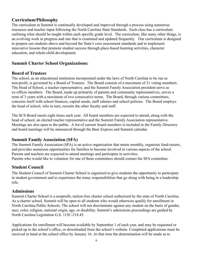## <span id="page-5-0"></span>**Curriculum/Philosophy**

The curriculum at Summit is continually developed and improved through a process using numerous resources and teacher input following the North Carolina State Standards. Each class has a curriculum outlining what should be taught within each specific grade level. The curriculum, like many other things, is an evolving work in progress and one that is examined and updated frequently. Our curriculum is designed to prepare our students above and beyond the State's core assessment standards and to implement innovative lessons that promote student success through place-based learning activities, character education, and whole-child development.

## <span id="page-5-1"></span>**Summit Charter School Organizations:**

### <span id="page-5-2"></span>**Board of Trustees**

The school, as an educational institution incorporated under the laws of North Carolina to be run as non-profit, is governed by a Board of Trustees. The Board consists of a maximum of 21 voting members. The Head of School, a teacher representative, and the Summit Family Association president serve as ex-officio members. The Board, made up primarily of parents and community representatives, serves a term of 3 years with a maximum of two consecutive terms. The Board, through various committees, concerns itself with school finances, capital needs, staff salaries and school policies. The Board employs the head of school, who in turn, recruits the other faculty and staff.

The SCS Board meets eight times each year. All board members are expected to attend, along with the head of school, an elected teacher representative and the Summit Family Association representative. Meetings are also open to the public. A list of current board members is included in the Family Directory and board meetings will be announced through the Bear Express and Summit calendar.

### <span id="page-5-3"></span>**Summit Family Association (SFA)**

The Summit Family Association (SFA) is an active organization that meets monthly, organizes fund-raisers, and provides numerous opportunities for families to become involved in various aspects of the school. Parents and teachers are expected to attend meetings and participate in activities. Parents who would like to volunteer for one of these committees should contact the SFA committee.

## <span id="page-5-4"></span>**Student Council**

The Student Council of Summit Charter School is organized to give students the opportunity to participate in student government and to experience the many responsibilities that go along with being in a leadership role.

## <span id="page-5-5"></span>**Admissions**

Summit Charter School is a nonprofit, tuition-free charter school authorized by the state of North Carolina. As a charter school, Summit will be open to all students who would otherwise qualify for enrollment in North Carolina Public Schools. The school will not discriminate against any student on the basis of gender, race, color, religion, national origin, age, or disability. Summit's admissions proceedings are guided by North Carolina Legislation G.S. 115C-218.45.

Applications for enrollment will become available by September 1 of each year, and may be requested or picked up in the school's office, or downloaded from the school's website. Completed applications must be received in hand at the school office by January 16. At that time the determination will be made as to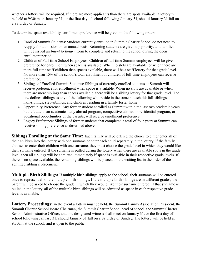whether a lottery will be required. If there are more applicants than there are spots available, a lottery will be held at 9:30am on January 31, or the first day of school following January 31, should January 31 fall on a Saturday or Sunday.

To determine space availability, enrollment preference will be given in the following order:

- 1. Enrolled Summit Students: Students currently enrolled in Summit Charter School do not need to reapply for admission on an annual basis. Returning students are given top priority, and families will be issued an *Intent to Return* form to complete and return to the school during the open enrollment period.
- 2. Children of Full-time School Employees: Children of full-time Summit employees will be given preference for enrollment when space is available. When no slots are available, or when there are more full-time staff children than spaces available, there will be a staff lottery for that grade level. No more than 15% of the school's total enrollment of children of full-time employees can receive preference.
- 3. Siblings of Enrolled Summit Students: Siblings of currently enrolled students at Summit will receive preference for enrollment when space is available. When no slots are available or when there are more siblings than spaces available, there will be a sibling lottery for that grade level. The law defines siblings as any of the following who reside in the same household: full-siblings, half-siblings, step-siblings, and children residing in a family foster home.
- 4. Opportunity Preference: Any former student enrolled as Summit within the last two academic years but left due to an academic study abroad program, competitive admission residential program, or vocational opportunities of the parents, will receive enrollment preference.
- 5. Legacy Preference: Siblings of former students that completed a total of four years at Summit can receive sibling preference as described above.

**Siblings Enrolling at the Same Time:** Each family will be offered the choice to either enter all of their children into the lottery with one surname or enter each child separately in the lottery. If the family chooses to enter their children with one surname, they must choose the grade level in which they would like their surname entered. If the surname is pulled during the lottery when there are available spots in the grade level, then all siblings will be admitted immediately if space is available in their respective grade levels. If there is no space available, the remaining siblings will be placed on the waiting list in the order of the admitted sibling's placement.

**Multiple Birth Siblings:** If multiple birth siblings apply to the school, their surname will be entered once to represent all of the multiple birth siblings. If the multiple birth siblings are in different grades, the parent will be asked to choose the grade in which they would like their surname entered. If that surname is pulled in the lottery, all of the multiple birth siblings will be admitted as space in each respective grade level is available.

**Lottery Proceedings:** in the event a lottery must be held, the Summit Family Association President, the Summit Charter School Board Chairman, the Summit Charter School head of school, the Summit Charter School Administrative Officer, and one designated witness shall meet on January 31, or the first day of school following January 31, should January 31 fall on a Saturday or Sunday. The lottery will be held at 9:30am at the school, and is open to the public.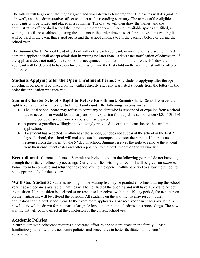The lottery will begin with the highest grade and work down to Kindergarten. The parties will designate a "drawer", and the administrative officer shall act as the recording secretary. The names of the eligible applicants will be folded and placed in a container. The drawer will then draw the names, and the administrative officer shall record the names in the order drawn. Once all available spaces are filled, a waiting list will be established, listing the students in the order drawn as set forth above. This waiting list will be used in the event that a spot opens and the school chooses to fill the vacancy before or during the school year.

The Summit Charter School Head of School will notify each applicant, in writing, of its placement. Each admitted applicant shall accept admission in writing no later than 10 days after notification of admission. If the applicant does not notify the school of its acceptance of admission on or before the  $10<sup>th</sup>$  day, the applicant will be deemed to have declined admission, and the first child on the waiting list will be offered admission.

**Students Applying after the Open Enrollment Period:** Any students applying after the open enrollment period will be placed on the waitlist directly after any waitlisted students from the lottery in the order the application was received.

**Summit Charter School's Right to Refuse Enrollment:** Summit Charter School reserves the right to refuse enrollment to any student or family under the following circumstances:

- The local school board may refuse to admit any student who is suspended or expelled from a school due to actions that would lead to suspension or expulsion from a public school under G.S. 115C-391 until the period of suspension or expulsion has expired.
- A parent or guardian willingly and knowingly provided incorrect information on the enrollment application.
- If a student has accepted enrollment at the school, but does not appear at the school in the first 2 days of school, the school will make reasonable attempts to contact the parents. If there is no response from the parent by the  $5<sup>th</sup>$  day of school, Summit reserves the right to remove the student from their enrollment roster and offer a position to the next student on the waiting list.

**Reenrollment:** Current students at Summit are invited to return the following year and do not have to go through the initial enrollment proceedings. Current families wishing to reenroll will be given an *Intent to Return* form to complete and return to the school during the open enrollment period to allow the school to plan appropriately for the lottery.

**Waitlisted Students:** Students residing on the waiting list may be granted enrollment during the school year if space becomes available. Families will be notified of the opening and will have 10 days to accept the position. If the position is declined or no response is received within the 10-day period, the next person on the waiting list will be offered the position. All students on the waiting list may resubmit their application for the next school year. In the event more applications are received than spaces available, a new lottery will be drawn for that particular grade level under the initial admissions proceedings. The new waiting list will go into effect at the conclusion of the current school year.

## <span id="page-7-0"></span>**Academic Policies**

A curriculum with coherence requires a dedicated effort by the student, teacher and family. Please familiarize yourself with the academic policies and procedures to better facilitate our students' achievement.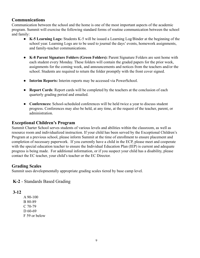## <span id="page-8-0"></span>**Communications**

Communication between the school and the home is one of the most important aspects of the academic program. Summit will exercise the following standard forms of routine communication between the school and family:

- **● K-5 Learning Logs:** Students K-5 will be issued a Learning Log/Binder at the beginning of the school year. Learning Logs are to be used to journal the days' events, homework assignments, and family-teacher communications.
- **● K-8 Parent Signature Folders (Green Folders):** Parent Signature Folders are sent home with each student every Monday. These folders will contain the graded papers for the prior week, assignments for the coming week, and announcements and notices from the teachers and/or the school. Students are required to return the folder promptly with the front cover signed.
- **● Interim Reports:** Interim reports may be accessed via PowerSchool.
- **● Report Cards**: Report cards will be completed by the teachers at the conclusion of each quarterly grading period and emailed.
- **● Conferences:** School-scheduled conferences will be held twice a year to discuss student progress. Conferences may also be held, at any time, at the request of the teacher, parent, or administration.

### <span id="page-8-1"></span>**Exceptional Children's Program**

Summit Charter School serves students of various levels and abilities within the classroom, as well as resource room and individualized instruction. If your child has been served by the Exceptional Children's Program at a previous school, please inform Summit at the time of enrollment to ensure placement and completion of necessary paperwork. If you currently have a child in the ECP, please meet and cooperate with the special education teacher to ensure the Individual Education Plan (IEP) is current and adequate progress is being made. For additional information, or if you suspect your child has a disability, please contact the EC teacher, your child's teacher or the EC Director.

### <span id="page-8-2"></span>**Grading Scales**

Summit uses developmentally appropriate grading scales tiered by base camp level.

### **K-2** - Standards Based Grading

### **3-12**

A 90-100 B 80-89 C 70-79 D 60-69 F 59 or below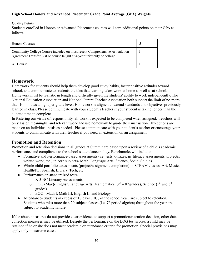#### **High School Honors and Advanced Placement Grade Point Average (GPA) Weights**

#### **Quality Points**

Students enrolled in Honors or Advanced Placement courses will earn additional points on their GPA as follows:

| <b>Honors Courses</b>                                                                                                                                   |  |
|---------------------------------------------------------------------------------------------------------------------------------------------------------|--|
| Community College Course included on most recent Comprehensive Articulation<br>Agreement Transfer List or course taught at 4-year university or college |  |
| AP Course                                                                                                                                               |  |

### <span id="page-9-0"></span>**Homework**

Homework for students should help them develop good study habits, foster positive attitudes toward school, and communicate to students the idea that learning takes work at home as well as at school. Homework must be realistic in length and difficulty given the students' ability to work independently. The National Education Association and National Parent Teacher Association both support the limit of no more than 10 minutes a night per grade level. Homework is aligned to extend standards and objectives previously learned in class. Please communicate with your student's teacher if your student is taking longer than the allotted time to complete.

In fostering our virtue of responsibility, all work is expected to be completed when assigned. Teachers will only assign meaningful and relevant work and use homework to guide their instruction. Exceptions are made on an individual basis as needed. Please communicate with your student's teacher or encourage your students to communicate with their teacher if you need an extension on an assignment.

## <span id="page-9-1"></span>**Promotion and Retention**

Promotion and retention decisions in all grades at Summit are based upon a review of a child's academic performance and compliance to the school's attendance policy. Benchmarks will include:

- Formative and Performance-based assessments (i.e. tests, quizzes, nc literacy assessments, projects, written work, etc.) in core subjects- Math, Language Arts, Science, Social Studies
- Whole-child portfolio assessments (project/assignment completion) in STEAM classes- Art, Music, Health/PE, Spanish, Library, Tech, etc.
- Performance on standardized tests
	- o K-3 NC Literacy Assessments
	- $\circ$  EOG (May)- English/Language Arts, Mathematics (3<sup>rd</sup> 8<sup>th</sup> grades), Science (5<sup>th</sup> and 8<sup>th</sup>) grades)
	- o EOC Math I, Math III, English II, and Biology
- Attendance- Students in excess of 18 days (10% of the school year) are subject to retention. Students who miss more than 20 subject classes (i.e.  $7<sup>th</sup>$  period algebra) throughout the year are subject to academic failure.

If the above measures do not provide clear evidence to support a promotion/retention decision, other data collection measures may be utilized. Despite the performance on the EOG test scores, a child may be retained if he or she does not meet academic or attendance criteria for promotion. Special provisions may apply only in extreme cases.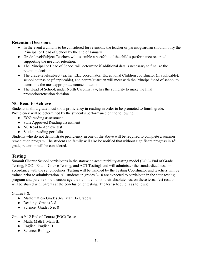#### **Retention Decisions:**

- In the event a child is to be considered for retention, the teacher or parent/guardian should notify the Principal or Head of School by the end of January.
- Grade-level/Subject Teachers will assemble a portfolio of the child's performance recorded supporting the need for retention.
- The Principal or Head of School will determine if additional data is necessary to finalize the retention decision.
- The grade-level/subject teacher, ELL coordinator, Exceptional Children coordinator (if applicable), school counselor (if applicable), and parent/guardian will meet with the Principal/head of school to determine the most appropriate course of action.
- The Head of School, under North Carolina law, has the authority to make the final promotion/retention decision.

### <span id="page-10-0"></span>**NC Read to Achieve**

Students in third grade must show proficiency in reading in order to be promoted to fourth grade. Proficiency will be determined by the student's performance on the following:

- EOG reading assessment
- State Approved Reading assessment
- NC Read to Achieve test
- Student reading portfolio

Students who do not demonstrate proficiency in one of the above will be required to complete a summer remediation program. The student and family will also be notified that without significant progress in  $4<sup>th</sup>$ grade, retention will be considered.

### <span id="page-10-1"></span>**Testing**

Summit Charter School participates in the statewide accountability-testing model (EOG- End of Grade Testing, EOC - End of Course Testing, and ACT Testing) and will administer the standardized tests in accordance with the set guidelines. Testing will be handled by the Testing Coordinator and teachers will be trained prior to administration. All students in grades 3-10 are expected to participate in the state testing program and parents should encourage their children to do their absolute best on these tests. Test results will be shared with parents at the conclusion of testing. The test schedule is as follows:

Grades 3-8:

- Mathematics- Grades 3-8, Math 1- Grade 8
- Reading- Grades 3-8
- Science- Grades  $5 & 8$

Grades 9-12 End of Course (EOC) Tests:

- Math: Math I, Math III
- English: English II
- Science: Biology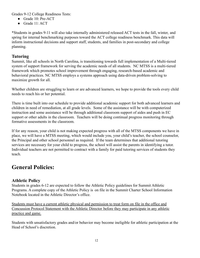Grades 9-12 College Readiness Tests:

- Grade 10: Pre-ACT
- $\bullet$  Grade 11: ACT

\*Students in grades 9-11 will also take internally administered released ACT tests in the fall, winter, and spring for internal benchmarking purposes toward the ACT college readiness benchmark. This data will inform instructional decisions and support staff, students, and families in post-secondary and college planning.

## <span id="page-11-0"></span>**Tutoring**

Summit, like all schools in North Carolina, is transitioning towards full implementation of a Multi-tiered system of support framework for serving the academic needs of all students. NC MTSS is a multi-tiered framework which promotes school improvement through engaging, research-based academic and behavioral practices. NC MTSS employs a systems approach using data-driven problem-solving to maximize growth for all.

Whether children are struggling to learn or are advanced learners, we hope to provide the tools every child needs to reach his or her potential.

There is time built into our schedule to provide additional academic support for both advanced learners and children in need of remediation, at all grade levels. Some of the assistance will be with computerized instruction and some assistance will be through additional classroom support of aides and push in EC support or other adults in the classroom. Teachers will be doing continual progress monitoring through formative assessments in the classroom.

If for any reason, your child is not making expected progress with all of the MTSS components we have in place, we will have a MTSS meeting, which would include you, your child's teacher, the school counselor, the Principal and other school personnel as required. If the team determines that additional tutoring services are necessary for your child to progress, the school will assist the parents in identifying a tutor. Individual teachers are not permitted to contract with a family for paid tutoring services of students they teach.

## **General Policies:**

## <span id="page-11-1"></span>**Athletic Policy**

Students in grades 6-12 are expected to follow the Athletic Policy guidelines for Summit Athletic Programs. A complete copy of the Athletic Policy is on file in the Summit Charter School Information Notebook located in the Athletic Director's office.

Students must have a current athletic physical and permission to treat form on file in the office and Concussion Protocol Statement with the Athletic Director before they may participate in any athletic practice and game.

Students with unsatisfactory grades and/or behavior may become ineligible for athletic participation at the Head of School's discretion.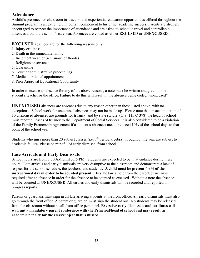## <span id="page-12-0"></span>**Attendance**

A child's presence for classroom instruction and experiential education opportunities offered throughout the Summit program is an extremely important component to his or her academic success. Parents are strongly encouraged to respect the importance of attendance and are asked to schedule travel and controllable absences around the school's calendar. Absences are coded as either **EXCUSED** or **UNEXCUSED**.

**EXCUSED** absences are for the following reasons only:

- 1. Injury or illness
- 2. Death in the immediate family
- 3. Inclement weather (ice, snow, or floods)
- 4. Religious observance
- 5. Quarantine
- 6. Court or administrative proceedings
- 7. Medical or dental appointments
- 8. Prior Approval Educational Opportunity

In order to excuse an absence for any of the above reasons, a note must be written and given to the student's teacher or the office. Failure to do this will result in the absence being coded "unexcused".

**UNEXCUSED** absences are absences due to any reason other than those listed above, with no exceptions. School work for unexcused absences may not be made up. Please note that an accumulation of 10 unexcused absences are grounds for truancy, and by state statute. (G.S. 115 C-378) the head of school must report all cases of truancy to the Department of Social Services. It is also considered to be a violation of the Family Partnership Agreement if a student's absences meet or exceed 10% of the school days to that point of the school year.

Students who miss more than 20 subject classes (i.e.  $7<sup>th</sup>$  period algebra) throughout the year are subject to academic failure. Please be mindful of early dismissal from school.

### **Late Arrivals and Early Dismissals**

School hours are from 8:30 AM until 3:15 PM. Students are expected to be in attendance during these hours. Late arrivals and early dismissals are very disruptive to the classroom and demonstrate a lack of respect for the school schedule, the teachers, and students. **A child must be present for ½ of the instructional day in order to be counted present.** By state law a note from the parent/guardian is required after an absence in order for the absence to be counted as excused. Without a note the absence will be counted as **UNEXCUSED**. All tardies and early dismissals will be recorded and reported on progress reports.

Parents or guardians must sign in all late arriving students at the front office. All early dismissals must also go through the front office. A parent or guardian must sign the student out. No students may be released from the classroom without a call from office personnel. **Excessive early dismissals and tardiness will warrant a mandatory parent conference with the Principal/head of school and may result in academic penalty for the class/subject that is missed.**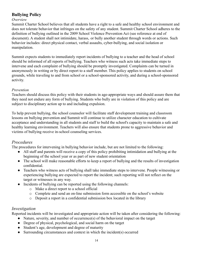## <span id="page-13-0"></span>**Bullying Policy**

#### *Overview*

Summit Charter School believes that all students have a right to a safe and healthy school environment and does not tolerate behavior that infringes on the safety of any student. Summit Charter School adheres to the definition of bullying outlined in the 2009 School Violence Prevention Act (see reference at end of document). A student shall not intimidate, harass, or bully another student through words or actions. Such behavior includes: direct physical contact, verbal assaults, cyber-bullying, and social isolation or manipulation.

Summit expects students to immediately report incidents of bullying to a teacher and the head of school should be informed of all reports of bullying. Teachers who witness such acts take immediate steps to intervene and each complaint of bullying should be promptly investigated. Complaints can be turned in anonymously in writing or by direct report to a staff member. This policy applies to students on school grounds, while traveling to and from school or a school-sponsored activity, and during a school-sponsored activity.

#### *Prevention*

Teachers should discuss this policy with their students in age-appropriate ways and should assure them that they need not endure any form of bullying. Students who bully are in violation of this policy and are subject to disciplinary action up to and including expulsion.

To help prevent bullying, the school counselor will facilitate staff development training and classroom lessons on bullying prevention and Summit will continue to utilize character education to cultivate acceptance and understanding in all students and staff to build the school's capacity to maintain a safe and healthy learning environment. Teachers will also ensure that students prone to aggressive behavior and victims of bullying receive in-school counseling services.

### *Procedures*

The procedures for intervening in bullying behavior include, but are not limited to the following:

- All staff and parents will receive a copy of this policy prohibiting intimidation and bullying at the beginning of the school year or as part of new student orientation
- The school will make reasonable efforts to keep a report of bullying and the results of investigation confidential.
- Teachers who witness acts of bullying shall take immediate steps to intervene. People witnessing or experiencing bullying are expected to report the incident; such reporting will not reflect on the target or witnesses in any way.
- Incidents of bullying can be reported using the following channels:
	- o Make a direct report to a school official
	- o Complete and send an on-line submission form accessible on the school's website
	- o Deposit a report in a confidential submission box located in the library

### *Investigation*

Reported incidents will be investigated and appropriate action will be taken after considering the following:

- Nature, severity, and number of occurrence(s) of the behavioral impact on the target
- Degree of physical, psychological, and social harm on the target
- Student's age, development and degree of maturity
- Surrounding circumstances and context in which the incident(s) occurred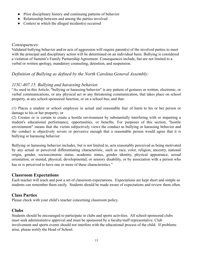- Prior disciplinary history and continuing patterns of behavior
- Relationship between and among the parties involved
- Context in which the alleged incident(s) occurred

#### *Consequences*

Validated bullying behavior and/or acts of aggression will require parent(s) of the involved parties to meet with the principal and disciplinary action will be determined on an individual basis. Bullying is considered a violation of Summit's Family Partnership Agreement. Consequences include, but are not limited to a verbal or written apology, mandatory counseling, detention, and suspension.

## *Definition of Bullying as defined by the North Carolina General Assembly:*

## *115C-407.15. Bullying and harassing behavior.*

"As used in this Article, "bullying or harassing behavior" is any pattern of gestures or written, electronic, or verbal communications, or any physical act or any threatening communication, that takes place on school property, at any school-sponsored function, or on a school bus, and that:

(1) Places a student or school employee in actual and reasonable fear of harm to his or her person or damage to his or her property; or

(2) Creates or is certain to create a hostile environment by substantially interfering with or impairing a student's educational performance, opportunities, or benefits. For purposes of this section, "hostile environment" means that the victim subjectively views the conduct as bullying or harassing behavior and the conduct is objectively severe or pervasive enough that a reasonable person would agree that it is bullying or harassing behavior.

Bullying or harassing behavior includes, but is not limited to, acts reasonably perceived as being motivated by any actual or perceived differentiating characteristic, such as race, color, religion, ancestry, national origin, gender, socioeconomic status, academic status, gender identity, physical appearance, sexual orientation, or mental, physical, developmental, or sensory disability, or by association with a person who has or is perceived to have one or more of these characteristics."

### <span id="page-14-0"></span>**Classroom Expectations**

Each teacher will teach and post a set of classroom expectations. Expectations are kept short and simple so students can remember them easily. Students should be made aware of expectations and review them often.

## <span id="page-14-1"></span>**Class Parties**

Please check with your child's teacher concerning classroom policy.

## <span id="page-14-2"></span>**Clubs**

Students should be encouraged to participate in clubs and sports activities. All school-sponsored clubs must seek administrative approval and must be sponsored by a faculty/staff representative. Club involvement and sports events should not interfere with the educational process of the child. If problems arise, please notify the Head of School.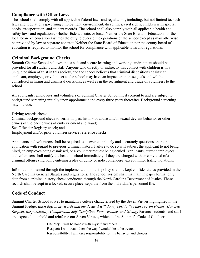## <span id="page-15-0"></span>**Compliance with Other Laws**

The school shall comply with all applicable federal laws and regulations, including, but not limited to, such laws and regulations governing employment, environment, disabilities, civil rights, children with special needs, transportation, and student records. The school shall also comply with all applicable health and safety laws and regulations, whether federal, state, or local. Neither the State Board of Education nor the local board of education assumes the duty to oversee the operations of the school except as may otherwise be provided by law or separate contract. Neither the State Board of Education nor the county board of education is required to monitor the school for compliance with applicable laws and regulations.

## <span id="page-15-1"></span>**Criminal Background Checks**

Summit Charter School believes that a safe and secure learning and working environment should be provided for all students and staff. Anyone who directly or indirectly has contact with children is in a unique position of trust in this society, and the school believes that criminal dispositions against an applicant, employee, or volunteer to the school may have an impact upon these goals and will be considered in hiring and dismissal decisions, as well as in the recruitment and usage of volunteers to the school.

All applicants, employees and volunteers of Summit Charter School must consent to and are subject to background screening initially upon appointment and every three years thereafter. Background screening may include:

Driving records check;

Criminal background check to verify no past history of abuse and/or sexual deviant behavior or other crimes of violence crimes of embezzlement and fraud;

Sex Offender Registry check; and

Employment and/or prior volunteer service reference checks.

Applicants and volunteers shall be required to answer completely and accurately questions on their application with regard to previous criminal history. Failure to do so will subject the applicant to not being hired, an employee being dismissed, or a volunteer request being denied. Applicants, current employees, and volunteers shall notify the head of school immediately if they are charged with or convicted of a criminal offense (including entering a plea of guilty or nolo contendere) except minor traffic violations.

Information obtained through the implementation of this policy shall be kept confidential as provided in the North Carolina General Statutes and regulations. The school system shall maintain in paper format only data from a criminal history check conducted through the North Carolina Department of Justice. These records shall be kept in a locked, secure place, separate from the individual's personnel file.

## <span id="page-15-2"></span>**Code of Conduct**

Summit Charter School strives to maintain a culture characterized by the Seven Virtues highlighted in the Summit Pledge: *Each day, in my words and my deeds, I will do my best to live these seven virtues: Honesty, Respect, Responsibility, Compassion, Self-Discipline, Perseverance, and Giving.* Parents, students, and staff are expected to uphold and reinforce our Seven Virtues, which define Summit's Code of Conduct:

> **Honesty**: I will be honest with myself and others. **Respect**: I will treat others the way I would like to be treated. **Responsibility**: I will take responsibility for my behavior and choices.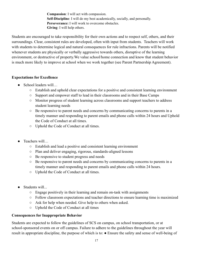**Compassion**: I will act with compassion. **Self-Discipline**: I will do my best academically, socially, and personally. **Perseverance:** I will work to overcome obstacles. **Giving**: I will help others.

Students are encouraged to take responsibility for their own actions and to respect self, others, and their surroundings. Clear, consistent rules are developed, often with input from students. Teachers will work with students to determine logical and natural consequences for rule infractions. Parents will be notified whenever students are physically or verbally aggressive towards others, disruptive of the learning environment, or destructive of property.We value school/home connection and know that student behavior is much more likely to improve at school when we work together (see Parent Partnership Agreement).

#### **Expectations for Excellence**

- School leaders will…
	- Establish and uphold clear expectations for a positive and consistent learning environment
	- Support and empower staff to lead in their classrooms and in their Base Camps
	- Monitor progress of student learning across classrooms and support teachers to address student learning needs
	- Be responsive to parent needs and concerns by communicating concerns to parents in a timely manner and responding to parent emails and phone calls within 24 hours and Uphold the Code of Conduct at all times.
	- Uphold the Code of Conduct at all times.
- Teachers will…
	- Establish and lead a positive and consistent learning environment
	- Plan and deliver engaging, rigorous, standards-aligned lessons
	- Be responsive to student progress and needs
	- Be responsive to parent needs and concerns by communicating concerns to parents in a timely manner and responding to parent emails and phone calls within 24 hours.
	- Uphold the Code of Conduct at all times.
- Students will...
	- Engage positively in their learning and remain on-task with assignments
	- Follow classroom expectations and teacher directions to ensure learning time is maximized
	- Ask for help when needed. Give help to others when asked.
	- Uphold the Code of Conduct at all times

#### **Consequences for Inappropriate Behavior**

Students are expected to follow the guidelines of SCS on campus, on school transportation, or at school-sponsored events on or off campus. Failure to adhere to the guidelines throughout the year will result in appropriate discipline, the purpose of which is to: ● Ensure the safety and sense of well-being of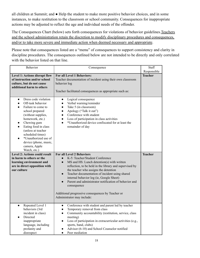all children at Summit; and ● Help the student to make more positive behavior choices, and in some instances, to make restitution to the classroom or school community. Consequences for inappropriate actions may be adjusted to reflect the age and individual needs of the offender.

The Consequences Chart (below) sets forth consequences for violations of behavior guidelines.Teachers and the school administration retain the discretion to modify disciplinary procedures and consequences, and/or to take more severe and immediate action when deemed necessary and appropriate.

Please note that consequences listed are a "menu" of consequences to support consistency and clarity in discipline procedures. The consequences outlined below are not intended to be directly and only correlated with the behavior listed on that line.

| <b>Behavior</b>                                                                                                                                                                                                                                                                                                                                    | Consequence                                                                                                                                                                                                                                                                                                                                                                                                                                                                                              | Staff<br>Responsible |
|----------------------------------------------------------------------------------------------------------------------------------------------------------------------------------------------------------------------------------------------------------------------------------------------------------------------------------------------------|----------------------------------------------------------------------------------------------------------------------------------------------------------------------------------------------------------------------------------------------------------------------------------------------------------------------------------------------------------------------------------------------------------------------------------------------------------------------------------------------------------|----------------------|
| Level 1: Actions disrupt flow<br>of instruction and/or school<br>culture, but do not cause<br>additional harm to others                                                                                                                                                                                                                            | For all Level 1 Behaviors:<br>Teacher documentation of incident using their own classroom<br>behavior log<br>Teacher facilitated consequences as appropriate such as:                                                                                                                                                                                                                                                                                                                                    | <b>Teacher</b>       |
| Dress code violation<br>$\bullet$<br>Off-task behavior<br>$\bullet$<br>Failure to come to<br>school prepared<br>(without supplies,<br>homework, etc.)<br>Chewing gum<br>$\bullet$<br>Eating food in class<br>(unless at teacher<br>scheduled times)<br>*Unauthorized use of<br>$\bullet$<br>device (phone, music,<br>camera, Apple<br>Watch, etc.) | Logical consequence<br>$\bullet$<br>Verbal warning/reminder<br>$\bullet$<br>Take 5 (in classroom)<br>$\bullet$<br>Apology ("Talk it out")<br>$\bullet$<br>Conference with student<br>$\bullet$<br>Loss of participation in class activities<br>$\bullet$<br>*Unauthorized device confiscated for at least the<br>$\bullet$<br>remainder of day                                                                                                                                                           |                      |
| <b>Level 2: Actions could result</b><br>in harm to others or the<br>learning environment and<br>are in direct opposition with<br>our culture                                                                                                                                                                                                       | <b>For all Level 2 Behaviors</b><br>K-5: Teacher/Student Conference<br>$\bullet$<br>MS and HS: Lunch detention(s) with written<br>reflection, to be held in the library and supervised by<br>the teacher who assigns the detention<br>Teacher documentation of incident using shared<br>$\bullet$<br>internal behavior log (ie, Google Sheet)<br>Parent and administrator notification of behavior and<br>consequence<br>Additional progressive consequences by Teacher or<br>Administrator may include: | <b>Teacher</b>       |
| Repeated Level 1<br>$\bullet$<br>behaviors (3rd<br>incident in class)<br>Directed<br>$\bullet$<br>inappropriate<br>language, including<br>profanity and<br>disrespect                                                                                                                                                                              | Conference with student and parent led by teacher<br>$\bullet$<br>Temporary removal from class<br>$\bullet$<br>Community accountability (restitution, service, class<br>$\bullet$<br>meeting)<br>Loss of participation in extracurricular activities (e.g.,<br>sports, band, clubs)<br>Advisor (6-10) and School Counselor notified<br>Peer mediation                                                                                                                                                    |                      |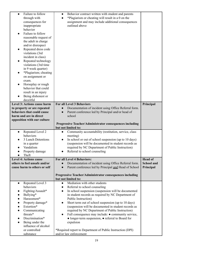| Failure to follow<br>$\bullet$<br>through with<br>consequences for<br>inappropriate<br>behavior<br>Failure to follow<br>$\bullet$<br>reasonable request of<br>the adult in charge<br>and/or disrespect<br>Repeated dress code<br>$\bullet$<br>violations (3rd<br>incident in class)<br>Repeated technology<br>$\bullet$<br>violations (3rd time<br>in 9 week quarter)<br>*Plagiarism; cheating<br>$\bullet$<br>on assignment or<br>exam.<br>Horseplay or rough<br>behavior that could<br>result in an injury<br>Being dishonest or<br>deceitful | Behavior contract written with student and parents<br>$\bullet$<br>*Plagiarism or cheating will result in a 0 on the<br>assignment and may include additional consequences<br>outlined above |                   |
|-------------------------------------------------------------------------------------------------------------------------------------------------------------------------------------------------------------------------------------------------------------------------------------------------------------------------------------------------------------------------------------------------------------------------------------------------------------------------------------------------------------------------------------------------|----------------------------------------------------------------------------------------------------------------------------------------------------------------------------------------------|-------------------|
| Level 3: Actions cause harm                                                                                                                                                                                                                                                                                                                                                                                                                                                                                                                     | For all Level 3 Behaviors                                                                                                                                                                    | Principal         |
| to property or are repeated<br>behaviors that could cause                                                                                                                                                                                                                                                                                                                                                                                                                                                                                       | Documentation of incident using Office Referral form.<br>$\bullet$<br>Parent conference led by Principal and/or head of<br>$\bullet$                                                         |                   |
| harm and are in direct                                                                                                                                                                                                                                                                                                                                                                                                                                                                                                                          | school                                                                                                                                                                                       |                   |
| opposition with our culture                                                                                                                                                                                                                                                                                                                                                                                                                                                                                                                     | Progressive Teacher/Administrator consequences including                                                                                                                                     |                   |
|                                                                                                                                                                                                                                                                                                                                                                                                                                                                                                                                                 | but not limited to:                                                                                                                                                                          |                   |
| Repeated Level 2<br>$\bullet$                                                                                                                                                                                                                                                                                                                                                                                                                                                                                                                   | Community accountability (restitution, service, class<br>$\bullet$                                                                                                                           |                   |
| behaviors<br>3 Lunch Detentions                                                                                                                                                                                                                                                                                                                                                                                                                                                                                                                 | meeting)<br>In school or out of school suspension (up to 10 days)<br>$\bullet$                                                                                                               |                   |
| in a quarter                                                                                                                                                                                                                                                                                                                                                                                                                                                                                                                                    | (suspension will be documented in student records as                                                                                                                                         |                   |
| Vandalism                                                                                                                                                                                                                                                                                                                                                                                                                                                                                                                                       | required by NC Department of Public Instruction)                                                                                                                                             |                   |
| Property damage<br>Theft<br>$\bullet$                                                                                                                                                                                                                                                                                                                                                                                                                                                                                                           | Referral to school counseling                                                                                                                                                                |                   |
| <b>Level 4: Actions cause</b>                                                                                                                                                                                                                                                                                                                                                                                                                                                                                                                   | For all Level 4 Behaviors:                                                                                                                                                                   | <b>Head of</b>    |
| others to feel unsafe and/or                                                                                                                                                                                                                                                                                                                                                                                                                                                                                                                    | Documentation of incident using Office Referral form.                                                                                                                                        | <b>School and</b> |
| cause harm to others or self                                                                                                                                                                                                                                                                                                                                                                                                                                                                                                                    | Parent conference led by Principal and Head of School<br>$\bullet$                                                                                                                           | Principal         |
|                                                                                                                                                                                                                                                                                                                                                                                                                                                                                                                                                 | Progressive Teacher/Administrator consequences including                                                                                                                                     |                   |
| Repeated Level 3                                                                                                                                                                                                                                                                                                                                                                                                                                                                                                                                | but not limited to:<br>Mediation with other students                                                                                                                                         |                   |
| $\bullet$<br>behaviors                                                                                                                                                                                                                                                                                                                                                                                                                                                                                                                          | $\bullet$<br>Referral to school counseling<br>$\bullet$                                                                                                                                      |                   |
| Fighting/Assault*<br>$\bullet$                                                                                                                                                                                                                                                                                                                                                                                                                                                                                                                  | In school suspension (suspension will be documented<br>$\bullet$                                                                                                                             |                   |
| Bullying*<br>$\bullet$<br>Harassment*                                                                                                                                                                                                                                                                                                                                                                                                                                                                                                           | in student records as required by NC Department of                                                                                                                                           |                   |
| $\bullet$<br>Property damage*<br>$\bullet$                                                                                                                                                                                                                                                                                                                                                                                                                                                                                                      | Public Instruction)<br>Short term out of school suspension (up to 10 days)<br>$\bullet$                                                                                                      |                   |
| Extortion*                                                                                                                                                                                                                                                                                                                                                                                                                                                                                                                                      | (suspension will be documented in student records as                                                                                                                                         |                   |
| Communicating<br>$\bullet$                                                                                                                                                                                                                                                                                                                                                                                                                                                                                                                      | required by NC Department of Public Instruction)                                                                                                                                             |                   |
| threats*<br>Discrimination*<br>$\bullet$                                                                                                                                                                                                                                                                                                                                                                                                                                                                                                        | Full consequence may include: $\bullet$ community service,<br>$\bullet$<br>· longer-term suspension, • referral to Board for                                                                 |                   |
| Being under the<br>$\bullet$                                                                                                                                                                                                                                                                                                                                                                                                                                                                                                                    | expulsion                                                                                                                                                                                    |                   |
| influence of alcohol                                                                                                                                                                                                                                                                                                                                                                                                                                                                                                                            |                                                                                                                                                                                              |                   |
| or controlled<br>substance                                                                                                                                                                                                                                                                                                                                                                                                                                                                                                                      | *Required report to Department of Public Instruction (DPI)                                                                                                                                   |                   |
|                                                                                                                                                                                                                                                                                                                                                                                                                                                                                                                                                 | and/or law enforcement                                                                                                                                                                       |                   |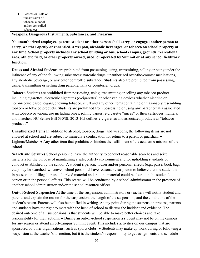**Weapons, Dangerous Instruments/Substances, and Firearms**

**No unauthorized employee, parent, student or other person shall carry, or engage another person to carry, whether openly or concealed, a weapon, alcoholic beverages, or tobacco on school property at any time. School property includes any school building or bus, school campus, grounds, recreational area, athletic field, or other property owned, used, or operated by Summit or at any school fieldwork function.**

**Drugs and Alcohol** Students are prohibited from possessing, using, transmitting, selling or being under the influence of any of the following substances: narcotic drugs, unauthorized over-the-counter medications, any alcoholic beverage, or any other controlled substance. Students also are prohibited from possessing, using, transmitting or selling drug paraphernalia or counterfeit drugs.

**Tobacco** Students are prohibited from possessing, using, transmitting or selling any tobacco product including cigarettes, electronic cigarettes (e-cigarettes) or other vaping devices whether nicotine or non-nicotine based, cigars, chewing tobacco, snuff and any other items containing or reasonably resembling tobacco or tobacco products. Students are prohibited from possessing or using any paraphernalia associated with tobacco or vaping use including pipes, rolling papers, e-cigarette "juices" or their cartridges, lighters, and matches. NC Senate Bill 530/SL 2013-165 defines e-cigarettes and associated products as "tobacco products."

**Unauthorized Items** In addition to alcohol, tobacco, drugs, and weapons, the following items are not allowed at school and are subject to immediate confiscation for return to a parent or guardian: ● Lighters/Matches ● Any other item that prohibits or hinders the fulfillment of the academic mission of the school

**Search and Seizures** School personnel have the authority to conduct reasonable searches and seize materials for the purpose of maintaining a safe, orderly environment and for upholding standards of conduct established by the school. A student's person, locker and/or personal effects (e.g., purse, book bag, etc.) may be searched whenever school personnel have reasonable suspicion to believe that the student is in possession of illegal or unauthorized material and that the material could be found on the student's person or in the personal effects. This search will be conducted by a school administrator in the presence of another school administrator and/or the school resource officer.

**Out-of-School Suspension** At the time of the suspension, administrators or teachers will notify student and parents and explain the reason for the suspension, the length of the suspension, and the conditions of the student's return. Parents will also be notified in writing. At any point during the suspension process, parents and students have the right to meet with the head of school to discuss the incident and evidence. The desired outcome of all suspensions is that students will be able to make better choices and take responsibility for their actions. ● During an out-of-school suspension a student may not be on the campus for any reason or attend an off-campus Summit event. This includes activities on our campus that are sponsored by other organizations, such as sports clubs. • Students may make up work during or following a suspension at the teacher's discretion, but it is the student's responsibility to get assignments and schedule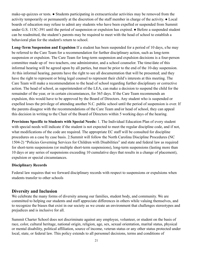make-up quizzes or tests. ● Students participating in extracurricular activities may be removed from the activity temporarily or permanently at the discretion of the staff member in charge of the activity. ● Local boards of education may refuse to admit any students who have been expelled or suspended from Summit under G.S. 115C-391 until the period of suspension or expulsion has expired. • Before a suspended student can be readmitted, the student's parents may be required to meet with the head of school to establish a behavioral plan for the student's return to school.

**Long-Term Suspension and Expulsion** If a student has been suspended for a period of 10 days, s/he may be referred to the Care Team for a recommendation for further disciplinary action, such as long-term suspension or expulsion. The Care Team for long-term suspension and expulsion decisions is a four-person committee made up of two teachers, one administrator, and a school counselor. The time/date of this informal hearing will be agreed upon by all parties, but must be prior to the end of the 10-day suspension. At this informal hearing, parents have the right to see all documentation that will be presented; and they have the right to represent or bring legal counsel to represent their child's interests at this meeting. The Care Team will make a recommendation to the head of school regarding further disciplinary or corrective action. The head of school, as superintendent of the LEA, can make a decision to suspend the child for the remainder of the year, or in certain circumstances, for 365 days. If the Care Team recommends an expulsion, this would have to be approved by the Board of Directors. Any student who is suspended or expelled loses the privilege of attending another N.C. public school until the period of suspension is over. If the parents disagree with the recommendations of the Care Team and/or head of school, they can appeal this decision in writing to the Chair of the Board of Directors within 5 working days of the hearing.

**Provisions Specific to Students with Special Needs:** 1. The Individual Education Plan of every student with special needs will indicate if the student is not expected to meet the regular discipline code, and if not, what modifications of the code are required. The appropriate EC staff will be consulted for discipline procedures on a case by case basis. 2.Summit will follow the North Carolina Discipline Procedures (NC 1504-2) "Policies Governing Services for Children with Disabilities" and state and federal law as required for short-term suspensions (or multiple short-term suspensions), long-term suspensions (lasting more than 10 days or any series of suspensions exceeding 10 cumulative days that results in a change of placement), expulsion or special circumstances.

#### **Disciplinary Records**

Federal law requires that we forward disciplinary records with respect to suspensions or expulsions when students transfer to other schools

### <span id="page-20-0"></span>**Diversity and Inclusion**

We celebrate the many forms of diversity among our families, student body, and community. We are committed to helping our students and staff appreciate differences in others while valuing themselves, and to recognize the biases that exist in our society as we create an environment that challenges stereotypes and prejudices and is inclusive for all.

Summit Charter School does not discriminate against any employee, volunteer, or student on the basis of race, color, cultural heritage, national origin, religion, age, sex, sexual orientation, marital status, physical or mental disability, political affiliation, source of income, veteran status or any other status protected under local, state, or federal law. This policy extends to all personnel decisions, terms and conditions of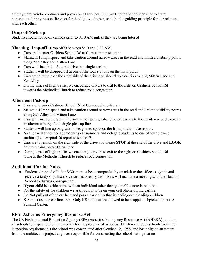employment, vendor contracts and provision of services. Summit Charter School does not tolerate harassment for any reason. Respect for the dignity of others shall be the guiding principle for our relations with each other.

## <span id="page-21-0"></span>**Drop-off/Pick-up**

Students should not be on campus prior to 8:10 AM unless they are being tutored

## **Morning Drop-off**- Drop off is between 8:10 and 8:30 AM.

- Cars are to enter Cashiers School Rd at Cornucopia restaurant
- Maintain 10mph speed and take caution around narrow areas in the road and limited visibility points along Zeb Alley and Mitten Lane
- Cars will line up the Summit drive in a single car line
- Students will be dropped off at one of the four stations on the main porch
- Cars are to remain on the right side of the drive and should take caution exiting Mitten Lane and Zeb Alley
- During times of high traffic, we encourage drivers to exit to the right on Cashiers School Rd towards the Methodist Church to reduce road congestion

## **Afternoon Pick-up**

- Cars are to enter Cashiers School Rd at Cornucopia restaurant
- Maintain 10mph speed and take caution around narrow areas in the road and limited visibility points along Zeb Alley and Mitten Lane
- Cars will line up the Summit drive in the two right-hand lanes leading to the cul-de-sac and exercise an alternate merge for a single pick-up line
- Students will line up by grade in designated spots on the front porch/in classrooms
- A caller will announce approaching car numbers and delegate students to one of four pick-up stations (i.e. "carpool 56 report to station B)
- Cars are to remain on the right side of the drive and please **STOP** at the end of the drive and **LOOK** before turning onto Mitten Lane
- During times of high traffic, we encourage drivers to exit to the right on Cashiers School Rd towards the Methodist Church to reduce road congestion

## **Additional Carline Notes**

- Students dropped off after 8:30am must be accompanied by an adult to the office to sign in and receive a tardy slip. Excessive tardies or early dismissals will mandate a meeting with the Head of School to discuss consequences.
- If your child is to ride home with an individual other than yourself, a note is required.
- For the safety of the children we ask you *not* to be on your cell phone during carline.
- Do Not pull out of the car lane and pass a car or bus that is loading or unloading children
- K-8 must use the car line area. Only HS students are allowed to be dropped off/picked up at the Summit Center.

## <span id="page-21-1"></span>**EPA- Asbestos Emergency Response Act**

The US Environmental Protection Agency (EPA) Asbestos Emergency Response Act (AHERA) requires all schools to inspect building materials for the presence of asbestos. AHERA excludes schools from the inspection requirement if the school was constructed after October 12, 1988, and has a signed statement from the architect of project engineer responsible for constructing the school stating that no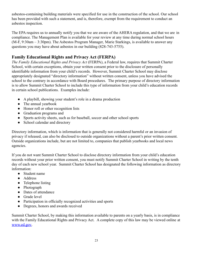asbestos-containing building materials were specified for use in the construction of the school. Our school has been provided with such a statement, and is, therefore, exempt from the requirement to conduct an asbestos inspection.

The EPA requires us to annually notify you that we are aware of the AHERA regulation, and that we are in compliance. The Management Plan is available for your review at any time during normal school hours (M-F, 9:30am – 3:30pm). The Asbestos Program Manager, Marie Starkings, is available to answer any questions you may have about asbestos in our building (828-743-5755).

## <span id="page-22-0"></span>**Family Educational Rights and Privacy Act (FERPA)**

*The Family Educational Rights and Privacy Act* (FERPA), a Federal law, requires that Summit Charter School, with certain exceptions, obtain your written consent prior to the disclosure of personally identifiable information from your child's records. However, Summit Charter School may disclose appropriately designated "directory information" without written consent, unless you have advised the school to the contrary in accordance with Board procedures. The primary purpose of directory information is to allow Summit Charter School to include this type of information from your child's education records in certain school publications. Examples include:

- A playbill, showing your student's role in a drama production
- The annual yearbook
- Honor roll or other recognition lists
- Graduation programs and
- Sports activity sheets, such as for baseball, soccer and other school sports
- School calendar and directory

Directory information, which is information that is generally not considered harmful or an invasion of privacy if released, can also be disclosed to outside organizations without a parent's prior written consent. Outside organizations include, but are not limited to, companies that publish yearbooks and local news agencies.

If you do not want Summit Charter School to disclose directory information from your child's education records without your prior written consent, you must notify Summit Charter School in writing by the tenth day of each new school year. Summit Charter School has designated the following information as directory information:

- Student name
- Address
- Telephone listing
- Photograph
- Dates of attendance
- Grade level
- Participation in officially recognized activities and sports
- Degrees, honors and awards received

Summit Charter School, by making this information available to parents on a yearly basis, is in compliance with the Family Educational Rights and Privacy Act. A complete copy of this law may be viewed online at [www.ed.gov.](http://www.ed.gov)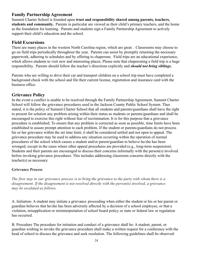## <span id="page-23-0"></span>**Family Partnership Agreement**

Summit Charter School is founded upon **trust and responsibility shared among parents, teachers, students and community.** Parents in particular are viewed as their child's primary teachers, and the home as the foundation for learning. Parents and students sign a Family Partnership Agreement to actively support their child's education and the school.

#### <span id="page-23-1"></span>**Field Excursions**

There are many places in the western North Carolina region, which are great . Classrooms may choose to go on field trips periodically throughout the year. Parents can assist by promptly returning the necessary paperwork, adhering to schedules and by offering to chaperone. Field trips are an educational experience, which allows students to visit new and interesting places. Please note that chaperoning a field trip is a huge responsibility. Parents should follow the teacher's directions explicitly and *should not bring siblings.*

Parents who are willing to drive their car and transport children on a school trip must have completed a background check with the school and file their current license, registration and insurance card with the business office.

### <span id="page-23-2"></span>**Grievance Policy**

In the event a conflict is unable to be resolved through the Family Partnership Agreement, Summit Charter School will follow the grievance procedures used in the Jackson County Public School System. Thus stated, it is the policy of Summit Charter School that all students and parents/guardians shall have the right to present for solution any problem arising within their status as students or parents/guardians and shall be encouraged to exercise this right without fear of recrimination. It is for this purpose that a grievance procedure is established. To ensure that any problem is corrected as soon as possible, time limits have been established to assure prompt attention to each problem. If the student or parents/guardians do not process his or her grievance within the set time limit, it shall be considered settled and not open to appeal. The grievance procedure may be used to address any situation occurring within the operation of normal procedures of the school which causes a student and/or parent/guardian to believe he/she has been wronged, except in the cases where other appeal procedures are provided (e.g., long-term suspension). Students and their parents are encouraged to discuss their concerns informally with the person(s) involved before invoking grievance procedures. This includes addressing classroom concerns directly with the teacher(s) as necessary.

#### **Grievance Process**

The first step in our grievance process is to bring the grievance to the party with whom there is a *disagreement. If the disagreement is not resolved directly with the person(s) involved, a grievance may be escalated as follows.*

A. Initiation- A student may initiate a grievance proceeding when either the student or his or her parent or guardian believes that he/she has been adversely affected by a decision of a school employee, or that a violation, misapplication or misinterpretation of school board policy or state or federal law or regulation has occurred.

B. Procedure The procedure for initiation and conduct of a grievance shall be: A student, parent, or guardian wishing to invoke the grievance procedure shall make a written request for a conference with the head of school to discuss the grievance and seek resolution. The following guidelines shall be observed: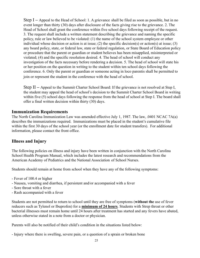Step I **–** Appeal to the Head of School: 1. A grievance shall be filed as soon as possible, but in no event longer than thirty (30) days after disclosure of the facts giving rise to the grievance. 2. The Head of School shall grant the conference within five school days following receipt of the request. 3. The request shall include a written statement describing the grievance and naming the specific policy, rule or law believed to be violated: (1) the name of the school system employee or other individual whose decision or action is at issue; (2) the specific decision(s) or action(s) at issue; (3) any board policy, state, or federal law, state or federal regulation, or State Board of Education policy or procedure that the parent or guardian or student believes has been misapplied, misinterpreted or violated; (4) and the specific resolution desired. 4. The head of school will conduct any investigation of the facts necessary before rendering a decision. 5. The head of school will state his or her position on the question in writing to the student within ten school days following the conference. 6. Only the parent or guardian or someone acting in loco parentis shall be permitted to join or represent the student in the conference with the head of school.

Step II **–** Appeal to the Summit Charter School Board: If the grievance is not resolved at Step I, the student may appeal the head of school's decision to the Summit Charter School Board in writing within five (5) school days following the response from the head of school at Step I. The board shall offer a final written decision within thirty (30) days.

#### <span id="page-24-0"></span>**Immunization Requirements**

The North Carolina Immunization Law was amended effective July 1, 1987. The law, .0401 NCAC 7A(a) describes the immunizations required. Immunizations must be placed in the student's cumulative file within the first 30 days of the school year (or the enrollment date for student transfers). For additional information, please contact the front office.

### **Illness and Injury**

The following policies on illness and injury have been written in conjunction with the North Carolina School Health Program Manual, which includes the latest research and recommendations from the American Academy of Pediatrics and the National Association of School Nurses.

Students should remain at home from school when they have any of the following symptoms:

- Fever of 100.4 or higher
- Nausea, vomiting and diarrhea, if persistent and/or accompanied with a fever
- Sore throat with a fever
- Rash accompanied with a fever

Students are not permitted to return to school until they are free of symptoms (**without the** use of fever reducers such as Tylenol or Ibuprofen) for a **minimum of 24 hours**. Students with Strep throat or other bacterial illnesses must remain home until 24 hours after treatment has started and any fevers have abated, unless otherwise stated in a note from a doctor or physician.

Parents will also be notified of their child's condition in the situations listed below:

- Injury where there is swelling, severe pain, or a question of a sprain or broken bone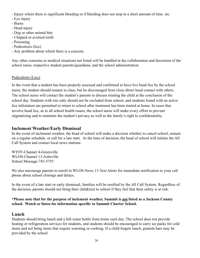- Injury where there is significant bleeding or if bleeding does not stop in a short amount of time. etc.
- Eye injury
- Burns
- Head injury
- Dog or other animal bite
- Chipped or avulsed tooth
- Poisoning
- Pediculosis (lice)
- Any problem about which there is a concern.

Any other concerns or medical situations not listed will be handled at the collaboration and discretion of the school nurse, respective student parents/guardians, and the school administration.

#### Pediculosis (Lice)

In the event that a student has been properly assessed and confirmed to have live head lice by the school nurse, the student should remain in class, but be discouraged from close direct head contact with others. The school nurse will contact the student's parents to discuss treating the child at the conclusion of the school day. Students with nits only should not be excluded from school, and students found with an active lice infestation are permitted to return to school after treatment has been started at home. In cases that involve head lice, as in all school health issues, the school nurse will make every effort to prevent stigmatizing and to maintain the student's privacy as well as the family's right to confidentiality.

#### <span id="page-25-0"></span>**Inclement Weather/Early Dismissal**

In the event of inclement weather, the head of school will make a decision whether to cancel school, remain on a regular schedule, or call for a late start. At the time of decision, the head of school will initiate the All Call System and contact local news stations:

WYFF-Channel 4-Greenville WLOS-Channel 13-Asheville School Message-743-5755

We also encourage parents to enroll in WLOS News 13 Text Alerts for immediate notification to your cell phone about school closings and delays.

In the event of a late start or early dismissal, families will be notified by the All Call System. Regardless of the decision, parents should not bring their child(ren) to school if they feel that their safety is at risk.

#### **\*Please note that for the purpose of inclement weather, Summit is not listed as a Jackson County school. Watch or listen for information specific to Summit Charter School.**

#### <span id="page-25-1"></span>**Lunch**

Students should bring lunch and a full water bottle from home each day. The school does not provide heating or refrigeration services for students, and students should be encouraged to carry ice packs for cold items and not bring items that require warming or cooking. If a child forgets lunch, granola bars may be provided by the school.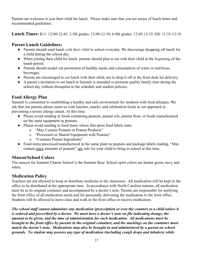Parents are welcome to join their child for lunch. Please make sure that you are aware of lunch times and recommended guidelines.

**Lunch Times:** K/1: 12:00-12:45; 2-5th grades: 12:00-12:30; 6-8th grades: 12:05-12:35; HS: 11:35-12:10

## **Parent Lunch Guidelines:**

- Parents should send lunch *with their child* to school everyday. We discourage dropping off lunch for a child during the school day.
- When joining their child for lunch, parents should plan to eat with their child at the *beginning* of the lunch period.
- Parents should model our promotion of healthy meals and consumption of water or nutritious beverages.
- Parents are encouraged to *eat* lunch with their child, not to drop it off at the front desk for delivery.
- A parent's invitation to eat lunch at Summit is intended to promote quality family time during the school day without disruption to the schedule and student policies.

## <span id="page-26-0"></span>**Food Allergy Plan**

Summit is committed to establishing a healthy and safe environment for students with food allergies. We ask that our parents please assist us with lunches, snacks, and celebration foods in our approach to preventing a severe allergy attack. At this time:

- Please avoid sending in foods containing peanuts, peanut oils, peanut flour, or foods manufactured on the same equipment as peanuts.
- Please avoid sending in food items whose fine-print food labels state:
	- o "May Contain Peanuts or Peanut Products"
	- o "Processed on Shared Equipment with Peanuts"
	- o "Contains Peanut Ingredients"
- Food items processed/manufactured in the same plant as peanuts and package labels reading, "May contain trace amounts of peanuts" are safe for your child to bring to school at this time.

## <span id="page-26-1"></span>**Mascot/School Colors**

The mascot for Summit Charter School is the Summit Bear. School spirit colors are hunter green, navy and white.

## <span id="page-26-2"></span>**Medication Policy**

Teachers are not allowed to keep or distribute medicine in the classroom. All medication will be kept in the office to be distributed at the appropriate time. In accordance with North Carolina statutes, all medication must be in its original container and accompanied by a doctor's note. Parents are responsible for notifying the front office of all medication needs and for personally delivering the medication to the front office. Students will be allowed to leave class and walk to the front office to receive medication.

*The school staff cannot administer any medication (prescription or over the counter) to a child unless it is ordered and prescribed by a doctor. We must have a doctor's note on file indicating dosage, the amount to be given, and the time of administration for each medication. All medications must be brought to the front office by parents in the original container, and the markings on the container must match the doctor's note. Medications may also be brought in and administered by a parent on school grounds. No student may possess any type of medication (including cough drops and inhalers) while*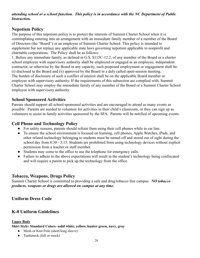*attending school or a school function. This policy is in accordance with the NC Department of Public Instruction.*

## <span id="page-27-0"></span>**Nepotism Policy**

The purpose of this nepotism policy is to protect the interests of Summit Charter School when it is contemplating entering into an arrangement with an immediate family member of a member of the Board of Directors (the "Board") or an employee of Summit Charter School. This policy is intended to supplement but not replace any applicable state laws governing nepotism applicable to nonprofit and charitable corporations. The Policy shall be as follows:

1. Before any immediate family, as defined in G.S. \$115C-12.2, of any member of the Board or a charter school employee with supervisory authority shall be employed or engaged as an employee, independent contractor, or otherwise by the Board in any capacity, such proposed employment or engagement shall be: (i) disclosed to the Board and (ii) approved by the Board in a duly called open-session meeting. The burden of disclosure of such a conflict of interest shall be on the applicable Board member or employee with supervisory authority. If the requirements of this subsection are complied with, Summit Charter School may employ the immediate family of any member of the Board or a Summit Charter School employee with supervisory authority.

### <span id="page-27-1"></span>**School Sponsored Activities**

Parents should support all school-sponsored activities and are encouraged to attend as many events as possible. Parents are needed to volunteer for activities in their child's classroom, or they can sign up as volunteers to assist in family activities sponsored by the SFA. Parents will be notified of upcoming events.

#### <span id="page-27-2"></span>**Cell Phone and Technology Policy**

- For safety reasons, parents should refrain from using their cell phones while in car line.
- To ensure the school environment is focused on learning, cell phones, Apple Watches, iPads, and other related technology belonging to students must be turned off and stored out of sight during the school day from 8:30 - 3:15. Students are prohibited from using technology devices without explicit permission from a teacher or staff member.
- Students may come to the office to use the telephone for emergency calls.
- Failure to adhere to the above expectations will result in the student's technology being confiscated and will require a parent to pick up the technology from the office.

### <span id="page-27-3"></span>**Tobacco, Weapons, Drugs Policy**

Summit Charter School is committed to providing a safe and drug/tobacco free campus. *NO tobacco products, weapons or drugs are allowed on campus at any time.*

## **Uniform Dress Code**

## <span id="page-27-4"></span>**K-8 Uniform Guidelines**

#### **Upper Body**

**Shirt Style: Standard Colors- solid white, yellow, hunter green, navy, gray**

- Mesh or Knit Polo (short/long sleeve)
- Turtleneck (full or mock)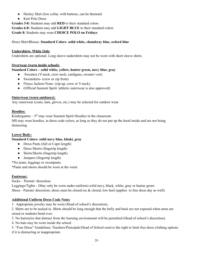- Henley Shirt (low collar, with buttons, can be thermal)
- Knit Polo Dress

**Grades 3-8:** Students may add **RED** to their standard colors **Grades 6-8:** Students may add **LIGHT BLUE** to their standard colors **Grade 8:** Students may wear **CHOICE POLO on Fridays**

Dress Shirt/Blouse: **Standard Colors- solid white, chambray blue, oxford blue**

#### **Undershirts- White Only**

Undershirts are optional. Long sleeve undershirts may not be worn with short sleeve shirts.

#### **Overwear (worn inside school):**

#### **Standard Colors – solid white, yellow, hunter green, navy blue, gray**

- Sweaters (V-neck, crew neck, cardigans, sweater vest)
- Sweatshirts- (crew or zip front)
- Fleece Jackets/Vests- (zip-up, crew or V-neck)
- (Official Summit Spirit /athletic outerwear is also approved)

#### **Outerwear (worn outdoors):**

Any outerwear (coats, hats, gloves, etc.) may be selected for outdoor wear.

#### **Hoodies:**

Kindergarten  $-5<sup>th</sup>$  may wear Summit Spirit Hoodies in the classroom MS may wear hoodies, in dress code colors, as long as they do not put up the hood inside and are not being distracting

#### **Lower Body:**

#### **Standard Colors- solid navy blue, khaki, gray**

- Dress Pants (full or Capri length)
- Dress Shorts (fingertip length)
- Skirts/Skorts (fingertip length)
- Jumpers (fingertip length)

\*No jeans, leggings or sweatpants.

\*Pants and shorts should be worn at the waist.

#### **Footwear:**

Socks – Parents' discretion

Leggings/Tights - (May only be worn under uniform) solid navy, black, white, gray or hunter green Shoes - Parents' discretion; shoes must be closed toe & closed, low heel (applies to free dress day as well).

#### **Additional Uniform Dress Code Notes**

1. Appropriate jewelry may be worn (Head of school's discretion).

2. Shirts are to be tucked in. Shirts should be long enough that the belly and back are not exposed when arms are raised or students bend over.

3. No hairstyles that distract from the learning environment will be permitted (Head of school's discretion).

4. No hats may be worn inside the school.

5. "Free Dress" Guidelines: Teachers/Principals/Head of School reserve the right to limit free dress clothing options if it is distracting or inappropriate.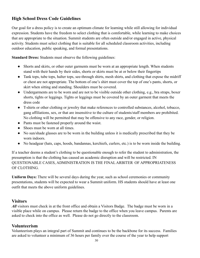## <span id="page-29-0"></span>**High School Dress Code Guidelines**

Our goal for a dress policy is to create an optimum climate for learning while still allowing for individual expression. Students have the freedom to select clothing that is comfortable, while learning to make choices that are appropriate to the situation. Summit students are often outside and/or engaged in active, physical activity. Students must select clothing that is suitable for all scheduled classroom activities, including outdoor education, public speaking, and formal presentations.

**Standard Dress:** Students must observe the following guidelines:

- Shorts and skirts, or other outer garments must be worn at an appropriate length. When students stand with their hands by their sides, shorts or skirts must be at or below their fingertips
- Tank tops, tube tops, halter tops, see-through shirts, mesh shirts, and clothing that expose the midriff or chest are not appropriate. The bottom of one's shirt must cover the top of one's pants, shorts, or skirt when sitting and standing. Shoulders must be covered.
- Undergarments are to be worn and are not to be visible outside other clothing, e.g., bra straps, boxer shorts, tights or leggings. Tights or leggings must be covered by an outer garment that meets the dress code
- T-shirts or other clothing or jewelry that make references to controlled substances, alcohol, tobacco, gang affiliations, sex, or that are insensitive to the culture of students/staff members are prohibited. No clothing will be permitted that may be offensive to any race, gender, or religion.
- Pants must be fastened properly around the waist.
- Shoes must be worn at all times.
- No sun/shade glasses are to be worn in the building unless it is medically prescribed that they be worn indoors.
- No headgear (hats, caps, hoods, bandannas, kerchiefs, curlers, etc.) is to be worn inside the building.

If a teacher deems a student's clothing to be questionable enough to refer the student to administration, the presumption is that the clothing has caused an academic disruption and will be restricted. IN QUESTIONABLE CASES, ADMINISTRATION IS THE FINAL ARBITER OF APPROPRIATENESS OF CLOTHING.

**Uniform Days:** There will be several days during the year, such as school ceremonies or community presentations, students will be expected to wear a Summit uniform. HS students should have at least one outfit that meets the above uniform guidelines.

### <span id="page-29-1"></span>**Visitors**

*All* visitors must check in at the front office and obtain a Visitors Badge. The badge must be worn in a visible place while on campus. Please return the badge to the office when you leave campus. Parents are asked to check into the office as well. Please do not go directly to the classroom.

#### <span id="page-29-2"></span>**Volunteerism**

Volunteerism plays an integral part of Summit and continues to be the backbone for its success. Families are asked to volunteer a minimum of 36 hours per family over the course of the year to help support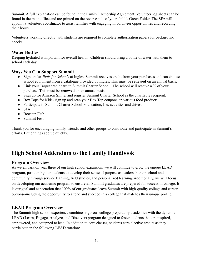Summit. A full explanation can be found in the Family Partnership Agreement. Volunteer log sheets can be found in the main office and are printed on the reverse side of your child's Green Folder. The SFA will appoint a volunteer coordinator to assist families with engaging in volunteer opportunities and recording their hours.

Volunteers working directly with students are required to complete authorization papers for background checks.

## <span id="page-30-0"></span>**Water Bottles**

Keeping hydrated is important for overall health. Children should bring a bottle of water with them to school each day.

## <span id="page-30-1"></span>**Ways You Can Support Summit**

- Sign up for *Tools for Schools* at Ingles. Summit receives credit from your purchases and can choose school equipment from a catalogue provided by Ingles. This must be **renewed** on an annual basis.
- Link your Target credit card to Summit Charter School. The school will receive a % of your purchase. This must be **renewed** on an annual basis.
- Sign up for Amazon Smile, and register Summit Charter School as the charitable recipient.
- Box Tops for Kids- sign up and scan your Box Top coupons on various food products
- Participate in Summit Charter School Foundation, Inc. activities and drives.
- $\bullet$  SFA
- Booster Club
- Summit Fest

Thank you for encouraging family, friends, and other groups to contribute and participate in Summit's efforts. Little things add up quickly.

## <span id="page-30-2"></span>**High School Addendum to the Family Handbook**

## <span id="page-30-3"></span>**Program Overview**

As we embark on year three of our high school expansion, we will continue to grow the unique LEAD program, positioning our students to develop their sense of purpose as leaders in their school and community through service learning, field studies, and personalized learning. Additionally, we will focus on developing our academic program to ensure all Summit graduates are prepared for success in college. It is our goal and expectation that 100% of our graduates leave Summit with high-quality college and career options--including the opportunity to attend and succeed in a college that matches their unique profile.

## <span id="page-30-4"></span>**LEAD Program Overview**

The Summit high school experience combines rigorous college preparatory academics with the dynamic LEAD (**L**earn, **E**ngage, **A**nalyze, and **D**iscover) program designed to foster students that are inspired, empowered, and equipped to lead. In addition to core classes, students earn elective credits as they participate in the following LEAD rotation: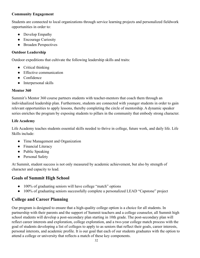#### **Community Engagement**

Students are connected to local organizations through service learning projects and personalized fieldwork opportunities in order to:

- Develop Empathy
- Encourage Curiosity
- Broaden Perspectives

## **Outdoor Leadership**

Outdoor expeditions that cultivate the following leadership skills and traits:

- Critical thinking
- Effective communication
- Confidence
- Interpersonal skills

## **Mentor 360**

Summit's Mentor 360 course partners students with teacher-mentors that coach them through an individualized leadership plan. Furthermore, students are connected with younger students in order to gain relevant opportunities to apply lessons, thereby completing the circle of mentorship. A dynamic speaker series enriches the program by exposing students to pillars in the community that embody strong character.

## **Life Academy**

Life Academy teaches students essential skills needed to thrive in college, future work, and daily life. Life Skills include:

- Time Management and Organization
- Financial Literacy
- Public Speaking
- Personal Safety

At Summit, student success is not only measured by academic achievement, but also by strength of character and capacity to lead.

## <span id="page-31-0"></span>**Goals of Summit High School**

- 100% of graduating seniors will have college "match" options
- 100% of graduating seniors successfully complete a personalized LEAD "Capstone" project

## <span id="page-31-1"></span>**College and Career Planning**

Our program is designed to ensure that a high-quality college option is a choice for all students. In partnership with their parents and the support of Summit teachers and a college counselor, all Summit high school students will develop a post-secondary plan starting in 10th grade. The post-secondary plan will reflect career interests and exploration, college exploration, and a two-year college match process with the goal of students developing a list of colleges to apply to as seniors that reflect their goals, career interests, personal interests, and academic profile. It is our goal that each of our students graduates with the option to attend a college or university that reflects a match of these key components.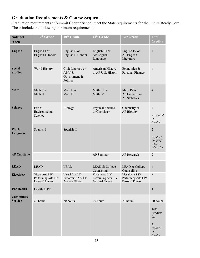## <span id="page-32-0"></span>**Graduation Requirements & Course Sequence**

Graduation requirements at Summit Charter School meet the State requirements for the Future Ready Core. These include the following minimum requirements:

| <b>Subject</b><br><b>Area</b>      | 9 <sup>th</sup> Grade                                        | 10 <sup>th</sup> Grade                                       | 11 <sup>th</sup> Grade                                       | 12 <sup>th</sup> Grade                                       | <b>Total</b><br><b>Credits</b>                                |
|------------------------------------|--------------------------------------------------------------|--------------------------------------------------------------|--------------------------------------------------------------|--------------------------------------------------------------|---------------------------------------------------------------|
| <b>English</b>                     | English I or<br><b>English I Honors</b>                      | English II or<br>English II Honors                           | English III or<br><b>AP</b> English<br>Language              | English IV or<br>AP English<br>Literature                    | $\overline{4}$                                                |
| <b>Social</b><br><b>Studies</b>    | World History                                                | Civic Literacy or<br>AP U.S.<br>Government &<br>Politics     | American History<br>or AP U.S. History                       | Economics &<br>Personal Finance                              | $\overline{4}$                                                |
| <b>Math</b>                        | Math I or<br>Math II                                         | Math II or<br>Math III                                       | Math III or<br>Math IV                                       | Math IV or<br>AP Calculus or<br><b>AP Statistics</b>         | $\overline{4}$                                                |
| <b>Science</b>                     | Earth/<br>Environmental<br>Science                           | <b>Biology</b>                                               | Physical Science<br>or Chemistry                             | Chemistry or<br><b>AP Biology</b>                            | $\overline{4}$<br>3 required<br>by<br>NCDPI                   |
| World<br>Language                  | Spanish I                                                    | Spanish II                                                   |                                                              |                                                              | $\overline{2}$<br>required<br>for UNC<br>schools<br>admission |
| <b>AP Capstone</b>                 |                                                              |                                                              | AP Seminar                                                   | AP Research                                                  | $\overline{2}$                                                |
| <b>LEAD</b>                        | <b>LEAD</b>                                                  | <b>LEAD</b>                                                  | LEAD & College<br>Counseling                                 | LEAD & College<br>Counseling                                 | $\overline{4}$                                                |
| Electives*                         | Visual Arts I-IV<br>Performing Arts I-IV<br>Personal Fitness | Visual Arts I-IV<br>Performing Arts I-IV<br>Personal Fitness | Visual Arts I-IV<br>Performing Arts I-IV<br>Personal Fitness | Visual Arts I-IV<br>Performing Arts I-IV<br>Personal Fitness | 3                                                             |
| PE/Health                          | Health & PE                                                  |                                                              |                                                              |                                                              | $\mathbf{1}$                                                  |
| <b>Community</b><br><b>Service</b> | 20 hours                                                     | 20 hours                                                     | 20 hours                                                     | 20 hours                                                     | 80 hours                                                      |
|                                    |                                                              |                                                              |                                                              |                                                              | Total<br>Credits:<br>28<br>22<br>required                     |
|                                    |                                                              |                                                              |                                                              |                                                              | by<br>NCDPI                                                   |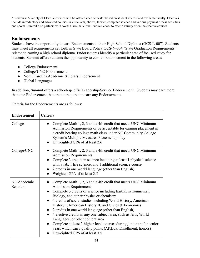**\*Electives:** A variety of Elective courses will be offered each semester based on student interest and available faculty. Electives include introductory and advanced courses in visual arts, chorus, theater, computer science and various physical fitness activities and sports. Summit also partners with North Carolina Virtual Public School to offer a variety of online elective courses.

## <span id="page-33-0"></span>**Endorsements**

Students have the opportunity to earn Endorsements to their High School Diploma (GCS-L-007). Students must meet all requirements set forth in State Board Policy GCS-N-004 "State Graduation Requirements" related to earning a high school diploma. Endorsements identify a particular area of focused study for students. Summit offers students the opportunity to earn an Endorsement in the following areas:

- College Endorsement
- College/UNC Endorsement
- North Carolina Academic Scholars Endorsement
- Global Languages

In addition, Summit offers a school-specific Leadership/Service Endorsement. Students may earn more than one Endorsement, but are not required to earn any Endorsements.

Criteria for the Endorsements are as follows:

| <b>Endorsement</b>      | Criteria                                                                                                                                                                                                                                                                                                                                                                                                                                                                                                                                                                                                                                                                                                                |
|-------------------------|-------------------------------------------------------------------------------------------------------------------------------------------------------------------------------------------------------------------------------------------------------------------------------------------------------------------------------------------------------------------------------------------------------------------------------------------------------------------------------------------------------------------------------------------------------------------------------------------------------------------------------------------------------------------------------------------------------------------------|
| College                 | Complete Math 1, 2, 3 and a 4th credit that meets UNC Minimum<br>Admission Requirements or be acceptable for earning placement in<br>a credit bearing college math class under NC Community College<br>System's Multiple Measures Placement policy<br>Unweighted GPA of at least 2.6                                                                                                                                                                                                                                                                                                                                                                                                                                    |
| College/UNC             | Complete Math 1, 2, 3 and a 4th credit that meets UNC Minimum<br><b>Admission Requirements</b><br>Complete 3 credits in science including at least 1 physical science<br>$\bullet$<br>with a lab, 1 life science, and 1 additional science course<br>2 credits in one world language (other than English)<br>Weighted GPA of at least 2.5                                                                                                                                                                                                                                                                                                                                                                               |
| NC Academic<br>Scholars | Complete Math 1, 2, 3 and a 4th credit that meets UNC Minimum<br><b>Admission Requirements</b><br>Complete 3 credits of science including Earth/Environmental,<br>Biology, and either physics or chemistry<br>4 credits of social studies including World History, American<br>$\bullet$<br>History I, American History II, and Civics & Economics<br>2 credits in one world language (other than English)<br>4 elective credits in any one subject area, such as Arts, World<br>$\bullet$<br>Languages, or other content area<br>Complete at least 3 higher-level courses during junior and/or senior<br>$\bullet$<br>years which carry quality points (AP, Dual Enrollment, honors)<br>Unweighted GPA of at least 3.5 |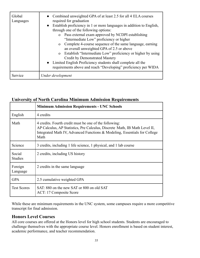| Global<br>Languages | Combined unweighted GPA of at least 2.5 for all 4 ELA courses<br>required for graduation<br>Establish proficiency in 1 or more languages in addition to English,<br>$\bullet$<br>through one of the following options:<br>Pass external exam approved by NCDPI establishing<br>$\overline{O}$<br>"Intermediate Low" proficiency or higher<br>Complete 4-course sequence of the same language, earning<br>$\Omega$<br>an overall unweighted GPA of 2.5 or above<br>Establish "Intermediate Low" proficiency or higher by using<br>$\Omega$<br><b>Credit by Demonstrated Mastery</b><br>Limited English Proficiency students shall complete all the<br>requirements above and reach "Developing" proficiency per WIDA |
|---------------------|---------------------------------------------------------------------------------------------------------------------------------------------------------------------------------------------------------------------------------------------------------------------------------------------------------------------------------------------------------------------------------------------------------------------------------------------------------------------------------------------------------------------------------------------------------------------------------------------------------------------------------------------------------------------------------------------------------------------|
| Service             | Under development                                                                                                                                                                                                                                                                                                                                                                                                                                                                                                                                                                                                                                                                                                   |

## <span id="page-34-0"></span>**University of North Carolina Minimum Admission Requirements**

|                          | <b>Minimum Admission Requirements - UNC Schools</b>                                                                                                                                                                       |
|--------------------------|---------------------------------------------------------------------------------------------------------------------------------------------------------------------------------------------------------------------------|
| English                  | 4 credits                                                                                                                                                                                                                 |
| Math                     | 4 credits. Fourth credit must be one of the following:<br>AP Calculus, AP Statistics, Pre Calculus, Discrete Math, IB Math Level II,<br>Integrated Math IV, Advanced Functions & Modeling, Essentials for College<br>Math |
| Science                  | 3 credits, including 1 life science, 1 physical, and 1 lab course                                                                                                                                                         |
| Social<br><b>Studies</b> | 2 credits, including US history                                                                                                                                                                                           |
| Foreign<br>Language      | 2 credits in the same language                                                                                                                                                                                            |
| <b>GPA</b>               | 2.5 cumulative weighted GPA                                                                                                                                                                                               |
| <b>Test Scores</b>       | SAT: 880 on the new SAT or 800 on old SAT<br>ACT: 17 Composite Score                                                                                                                                                      |

While these are minimum requirements in the UNC system, some campuses require a more competitive transcript for final admission.

## <span id="page-34-1"></span>**Honors Level Courses**

All core courses are offered at the Honors level for high school students. Students are encouraged to challenge themselves with the appropriate course level. Honors enrollment is based on student interest, academic performance, and teacher recommendation.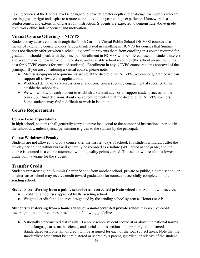Taking courses at the Honors level is designed to provide greater depth and challenge for students who are seeking greater rigor and aspire to a more competitive four-year college experience. Homework is a reinforcement and extension of classroom instruction. Students are expected to demonstrate above-grade level work ethic, independence, and motivation.

## <span id="page-35-0"></span>**Virtual Course Offerings - NCVPS**

Students may access courses through the North Carolina Virtual Public School (NCVPS) courses as a means of extending course choices. Students interested in enrolling in NCVPS for courses that Summit does not directly offer, or when a scheduling conflict prevents them from enrolling in a course required for graduation, should speak with the principal. Enrollment in NCVPS will be offered based on student interest and academic need, teacher recommendation, and available school resources (the school incurs the tuition cost for NCVPS courses for enrolled students). Enrollment in any NCVPS course requires approval of the principal. If you are considering a virtual course, please note:

- Materials/equipment requirements are set at the discretion of NCVPS. We cannot guarantee we can support all software and applications.
- Workload demands vary across course and some courses require engagement at specified times outside the school day.
- We will work with each student to establish a Summit advisor to support student success in the course, but final decisions about course requirements are at the discretion of NCVPS teachers. Some students may find it difficult to work in isolation.

## <span id="page-35-1"></span>**Course Requirements**

#### **Course Load Expectations**

In high school, students shall generally carry a course load equal to the number of instructional periods in the school day, unless special permission is given to the student by the principal.

### **Course Withdrawal Penalty**

Students are not allowed to drop a course after the first ten days of school. If a student withdraws after the ten-day period, the withdrawal will generally be recorded as a failure (WF) noted as the grade, and the course is counted as a course attempted with no quality points earned. This action will result in a lower grade point average for the student.

## <span id="page-35-2"></span>**Transfer Credit**

Students transferring into Summit Charter School from another school, private or public, a home school, or an alternative school may receive credit toward graduation for courses successfully completed in the sending school.

#### **Students transferring from a public school or an accredited private school** into Summit will receive:

- Credit for all courses approved by the sending school
- Weighted credit for all courses designated by the sending school system as Honors or AP

**Students transferring from a home school or a non-accredited private school** may receive credit toward graduation for courses, based on the following guidelines:

• Nationally standardized test results: If a homeschool student scored at or above the national norms on the language arts, math, science, and social studies sections of a properly administered standardized test, one unit of credit will be assigned for each of the four subject areas. Note that the standardized test cannot be administered or scored by a parent, guardian, or relative of the student.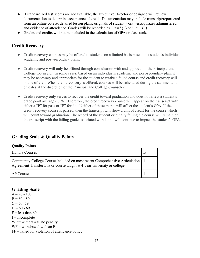- If standardized test scores are not available, the Executive Director or designee will review documentation to determine acceptance of credit. Documentation may include transcript/report card from an online course, detailed lesson plans, originals of student work, tests/quizzes administered, and evidence of attendance. Grades will be recorded as "Pass" (P) or "Fail" (F).
- Grades and credits will not be included in the calculation of GPA or class rank.

## <span id="page-36-0"></span>**Credit Recovery**

- Credit recovery courses may be offered to students on a limited basis based on a student's individual academic and post-secondary plans.
- Credit recovery will only be offered through consultation with and approval of the Principal and College Counselor. In some cases, based on an individual's academic and post-secondary plan, it may be necessary and appropriate for the student to retake a failed course and credit recovery will not be offered. When credit recovery is offered, courses will be scheduled during the summer and on dates at the discretion of the Principal and College Counselor.
- Credit recovery only serves to recover the credit toward graduation and does not affect a student's grade point average (GPA). Therefore, the credit recovery course will appear on the transcript with either a "P" for pass or "F" for fail. Neither of these marks will affect the student's GPA. If the credit recovery course is passed, then the transcript will show a unit of credit for the course which will count toward graduation. The record of the student originally failing the course will remain on the transcript with the failing grade associated with it and will continue to impact the student's GPA.

## <span id="page-36-1"></span>**Grading Scale & Quality Points**

#### **Quality Points**

| <b>Honors Courses</b>                                                                                                                                       |  |
|-------------------------------------------------------------------------------------------------------------------------------------------------------------|--|
| Community College Course included on most recent Comprehensive Articulation   1<br>Agreement Transfer List or course taught at 4-year university or college |  |
| AP Course                                                                                                                                                   |  |

#### <span id="page-36-2"></span>**Grading Scale**

 $A = 90 - 100$  $B = 80 - 89$  $C = 70 - 79$  $D = 60 - 69$  $F =$  less than 60  $I = Incomplete$  $WP =$  withdrawal, no penalty  $WF =$  withdrawal with an  $F$  $FF = failed$  for violation of attendance policy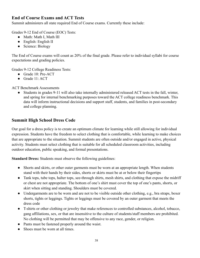## <span id="page-37-0"></span>**End of Course Exams and ACT Tests**

Summit administers all state required End of Course exams. Currently these include:

Grades 9-12 End of Course (EOC) Tests:

- Math: Math I, Math III
- English: English II
- Science: Biology

The End of Course exams will count as 20% of the final grade. Please refer to individual syllabi for course expectations and grading policies.

Grades 9-12 College Readiness Tests:

- Grade 10: Pre-ACT
- $\bullet$  Grade 11: ACT

ACT Benchmark Assessments

Students in grades 9-11 will also take internally administered released ACT tests in the fall, winter, and spring for internal benchmarking purposes toward the ACT college readiness benchmark. This data will inform instructional decisions and support staff, students, and families in post-secondary and college planning.

## <span id="page-37-1"></span>**Summit High School Dress Code**

Our goal for a dress policy is to create an optimum climate for learning while still allowing for individual expression. Students have the freedom to select clothing that is comfortable, while learning to make choices that are appropriate to the situation. Summit students are often outside and/or engaged in active, physical activity. Students must select clothing that is suitable for all scheduled classroom activities, including outdoor education, public speaking, and formal presentations.

**Standard Dress:** Students must observe the following guidelines:

- Shorts and skirts, or other outer garments must be worn at an appropriate length. When students stand with their hands by their sides, shorts or skirts must be at or below their fingertips
- Tank tops, tube tops, halter tops, see-through shirts, mesh shirts, and clothing that expose the midriff or chest are not appropriate. The bottom of one's shirt must cover the top of one's pants, shorts, or skirt when sitting and standing. Shoulders must be covered.
- Undergarments are to be worn and are not to be visible outside other clothing, e.g., bra straps, boxer shorts, tights or leggings. Tights or leggings must be covered by an outer garment that meets the dress code
- T-shirts or other clothing or jewelry that make references to controlled substances, alcohol, tobacco, gang affiliations, sex, or that are insensitive to the culture of students/staff members are prohibited. No clothing will be permitted that may be offensive to any race, gender, or religion.
- Pants must be fastened properly around the waist.
- Shoes must be worn at all times.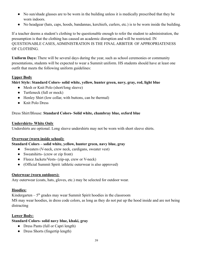- No sun/shade glasses are to be worn in the building unless it is medically prescribed that they be worn indoors.
- No headgear (hats, caps, hoods, bandannas, kerchiefs, curlers, etc.) is to be worn inside the building.

If a teacher deems a student's clothing to be questionable enough to refer the student to administration, the presumption is that the clothing has caused an academic disruption and will be restricted. IN QUESTIONABLE CASES, ADMINISTRATION IS THE FINAL ARBITER OF APPROPRIATENESS OF CLOTHING.

**Uniform Days:** There will be several days during the year, such as school ceremonies or community presentations, students will be expected to wear a Summit uniform. HS students should have at least one outfit that meets the following uniform guidelines:

#### **Upper Body**

#### **Shirt Style: Standard Colors- solid white, yellow, hunter green, navy, gray, red, light blue**

- Mesh or Knit Polo (short/long sleeve)
- Turtleneck (full or mock)
- Henley Shirt (low collar, with buttons, can be thermal)
- Knit Polo Dress

#### Dress Shirt/Blouse: **Standard Colors- Solid white, chambray blue, oxford blue**

#### **Undershirts- White Only**

Undershirts are optional. Long sleeve undershirts may not be worn with short sleeve shirts.

#### **Overwear (worn inside school):**

#### **Standard Colors – solid white, yellow, hunter green, navy blue, gray**

- Sweaters (V-neck, crew neck, cardigans, sweater vest)
- Sweatshirts- (crew or zip front)
- Fleece Jackets/Vests- (zip-up, crew or V-neck)
- (Official Summit Spirit /athletic outerwear is also approved)

#### **Outerwear (worn outdoors):**

Any outerwear (coats, hats, gloves, etc.) may be selected for outdoor wear.

#### **Hoodies:**

Kindergarten –  $5<sup>th</sup>$  grades may wear Summit Spirit hoodies in the classroom MS may wear hoodies, in dress code colors, as long as they do not put up the hood inside and are not being distracting

### **Lower Body:**

## **Standard Colors- solid navy blue, khaki, gray**

- Dress Pants (full or Capri length)
- Dress Shorts (fingertip length)